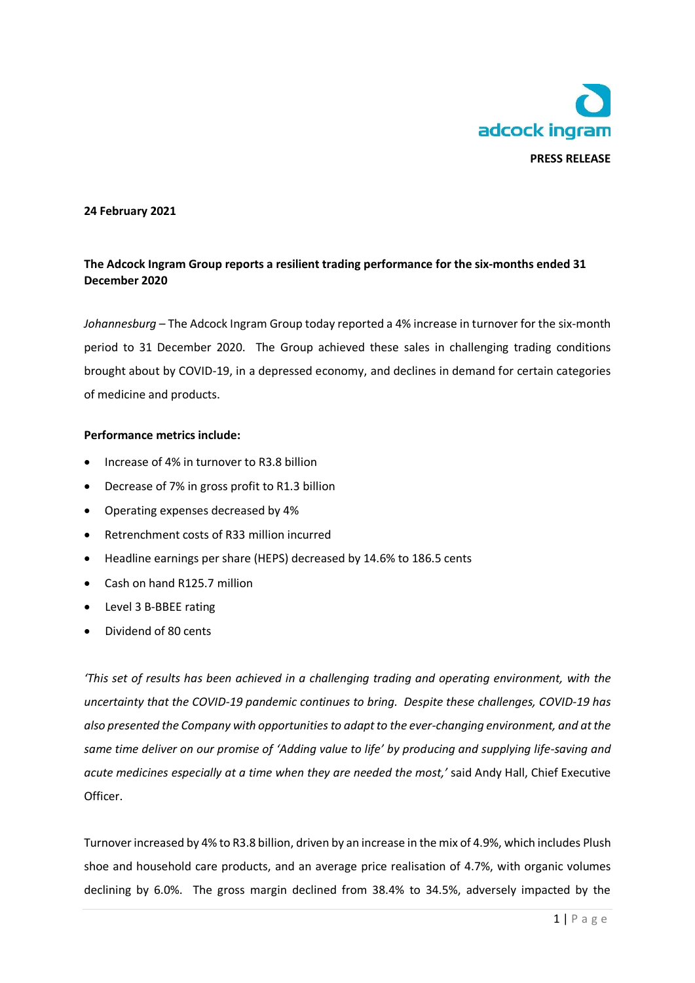

### **24 February 2021**

# **The Adcock Ingram Group reports a resilient trading performance for the six-months ended 31 December 2020**

*Johannesburg* – The Adcock Ingram Group today reported a 4% increase in turnover for the six-month period to 31 December 2020. The Group achieved these sales in challenging trading conditions brought about by COVID-19, in a depressed economy, and declines in demand for certain categories of medicine and products.

#### **Performance metrics include:**

- Increase of 4% in turnover to R3.8 billion
- Decrease of 7% in gross profit to R1.3 billion
- Operating expenses decreased by 4%
- Retrenchment costs of R33 million incurred
- Headline earnings per share (HEPS) decreased by 14.6% to 186.5 cents
- Cash on hand R125.7 million
- Level 3 B-BBEE rating
- Dividend of 80 cents

*'This set of results has been achieved in a challenging trading and operating environment, with the uncertainty that the COVID-19 pandemic continues to bring. Despite these challenges, COVID-19 has also presented the Company with opportunities to adapt to the ever-changing environment, and at the same time deliver on our promise of 'Adding value to life' by producing and supplying life-saving and acute medicines especially at a time when they are needed the most,'* said Andy Hall, Chief Executive Officer.

Turnover increased by 4% to R3.8 billion, driven by an increase in the mix of 4.9%, which includes Plush shoe and household care products, and an average price realisation of 4.7%, with organic volumes declining by 6.0%. The gross margin declined from 38.4% to 34.5%, adversely impacted by the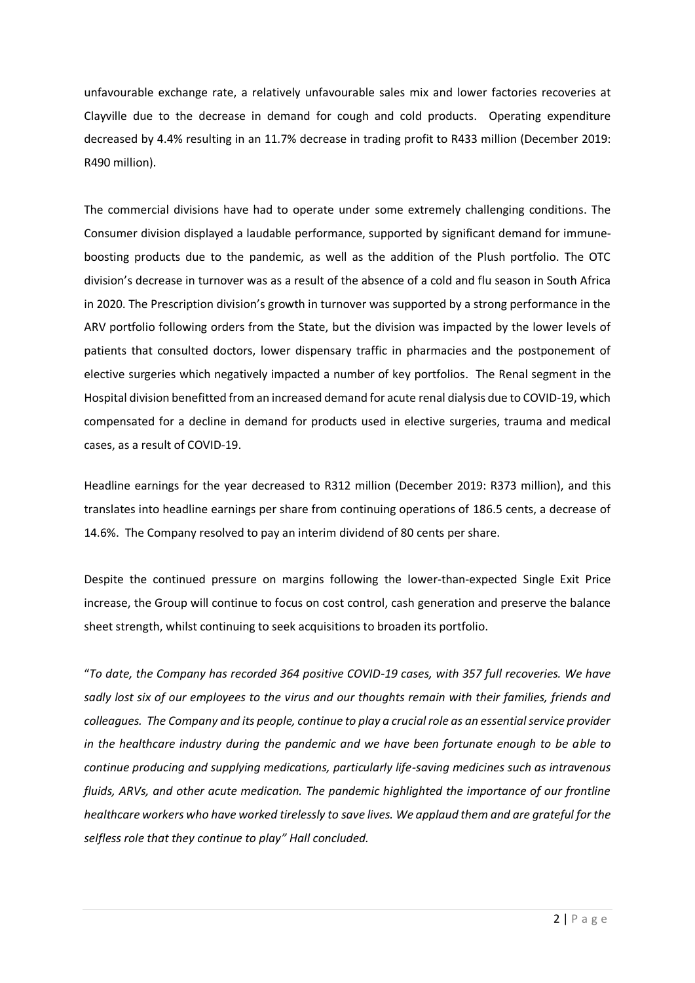unfavourable exchange rate, a relatively unfavourable sales mix and lower factories recoveries at Clayville due to the decrease in demand for cough and cold products. Operating expenditure decreased by 4.4% resulting in an 11.7% decrease in trading profit to R433 million (December 2019: R490 million).

The commercial divisions have had to operate under some extremely challenging conditions. The Consumer division displayed a laudable performance, supported by significant demand for immuneboosting products due to the pandemic, as well as the addition of the Plush portfolio. The OTC division's decrease in turnover was as a result of the absence of a cold and flu season in South Africa in 2020. The Prescription division's growth in turnover was supported by a strong performance in the ARV portfolio following orders from the State, but the division was impacted by the lower levels of patients that consulted doctors, lower dispensary traffic in pharmacies and the postponement of elective surgeries which negatively impacted a number of key portfolios. The Renal segment in the Hospital division benefitted from an increased demand for acute renal dialysis due to COVID-19, which compensated for a decline in demand for products used in elective surgeries, trauma and medical cases, as a result of COVID-19.

Headline earnings for the year decreased to R312 million (December 2019: R373 million), and this translates into headline earnings per share from continuing operations of 186.5 cents, a decrease of 14.6%. The Company resolved to pay an interim dividend of 80 cents per share.

Despite the continued pressure on margins following the lower-than-expected Single Exit Price increase, the Group will continue to focus on cost control, cash generation and preserve the balance sheet strength, whilst continuing to seek acquisitions to broaden its portfolio.

"*To date, the Company has recorded 364 positive COVID-19 cases, with 357 full recoveries. We have sadly lost six of our employees to the virus and our thoughts remain with their families, friends and colleagues. The Company and its people, continue to play a crucial role as an essential service provider in the healthcare industry during the pandemic and we have been fortunate enough to be able to continue producing and supplying medications, particularly life-saving medicines such as intravenous fluids, ARVs, and other acute medication. The pandemic highlighted the importance of our frontline healthcare workers who have worked tirelessly to save lives. We applaud them and are grateful for the selfless role that they continue to play" Hall concluded.*